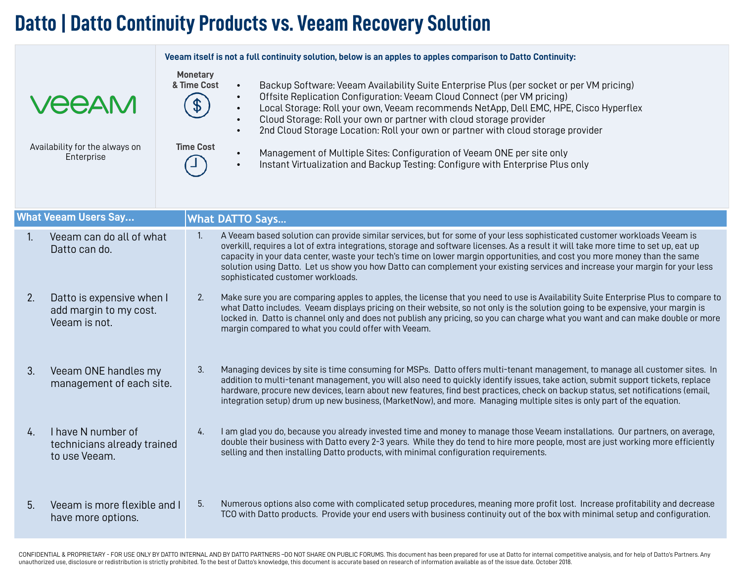## **Datto | Datto Continuity Products vs. Veeam Recovery Solution**

|                                                              |                                                                      |                                                    | Veeam itself is not a full continuity solution, below is an apples to apples comparison to Datto Continuity:                                                                                                                                                                                                                                                                                                                                                                                                                                                                                                                                         |  |  |  |  |
|--------------------------------------------------------------|----------------------------------------------------------------------|----------------------------------------------------|------------------------------------------------------------------------------------------------------------------------------------------------------------------------------------------------------------------------------------------------------------------------------------------------------------------------------------------------------------------------------------------------------------------------------------------------------------------------------------------------------------------------------------------------------------------------------------------------------------------------------------------------------|--|--|--|--|
| <b>VEEAM</b><br>Availability for the always on<br>Enterprise |                                                                      | <b>Monetary</b><br>& Time Cost<br><b>Time Cost</b> | Backup Software: Veeam Availability Suite Enterprise Plus (per socket or per VM pricing)<br>$\bullet$<br>Offsite Replication Configuration: Veeam Cloud Connect (per VM pricing)<br>$\bullet$<br>Local Storage: Roll your own, Veeam recommends NetApp, Dell EMC, HPE, Cisco Hyperflex<br>$\bullet$<br>Cloud Storage: Roll your own or partner with cloud storage provider<br>2nd Cloud Storage Location: Roll your own or partner with cloud storage provider<br>$\bullet$<br>Management of Multiple Sites: Configuration of Veeam ONE per site only<br>Instant Virtualization and Backup Testing: Configure with Enterprise Plus only<br>$\bullet$ |  |  |  |  |
|                                                              | <b>What Veeam Users Say</b>                                          |                                                    | <b>What DATTO Says</b>                                                                                                                                                                                                                                                                                                                                                                                                                                                                                                                                                                                                                               |  |  |  |  |
| $\mathbf{1}$ .                                               | Veeam can do all of what<br>Datto can do.                            | 1.                                                 | A Veeam based solution can provide similar services, but for some of your less sophisticated customer workloads Veeam is<br>overkill, requires a lot of extra integrations, storage and software licenses. As a result it will take more time to set up, eat up<br>capacity in your data center, waste your tech's time on lower margin opportunities, and cost you more money than the same<br>solution using Datto. Let us show you how Datto can complement your existing services and increase your margin for your less<br>sophisticated customer workloads.                                                                                    |  |  |  |  |
| 2.                                                           | Datto is expensive when I<br>add margin to my cost.<br>Veeam is not. | 2.                                                 | Make sure you are comparing apples to apples, the license that you need to use is Availability Suite Enterprise Plus to compare to<br>what Datto includes. Veeam displays pricing on their website, so not only is the solution going to be expensive, your margin is<br>locked in. Datto is channel only and does not publish any pricing, so you can charge what you want and can make double or more<br>margin compared to what you could offer with Veeam.                                                                                                                                                                                       |  |  |  |  |
| 3.                                                           | Veeam ONE handles my<br>management of each site.                     | 3.                                                 | Managing devices by site is time consuming for MSPs. Datto offers multi-tenant management, to manage all customer sites. In<br>addition to multi-tenant management, you will also need to quickly identify issues, take action, submit support tickets, replace<br>hardware, procure new devices, learn about new features, find best practices, check on backup status, set notifications (email,<br>integration setup) drum up new business, (MarketNow), and more. Managing multiple sites is only part of the equation.                                                                                                                          |  |  |  |  |
| 4.                                                           | I have N number of<br>technicians already trained<br>to use Veeam.   | 4.                                                 | I am glad you do, because you already invested time and money to manage those Veeam installations. Our partners, on average,<br>double their business with Datto every 2-3 years. While they do tend to hire more people, most are just working more efficiently<br>selling and then installing Datto products, with minimal configuration requirements.                                                                                                                                                                                                                                                                                             |  |  |  |  |
| 5 <sub>1</sub>                                               | Veeam is more flexible and I<br>have more options.                   | 5.                                                 | Numerous options also come with complicated setup procedures, meaning more profit lost. Increase profitability and decrease<br>TCO with Datto products. Provide your end users with business continuity out of the box with minimal setup and configuration.                                                                                                                                                                                                                                                                                                                                                                                         |  |  |  |  |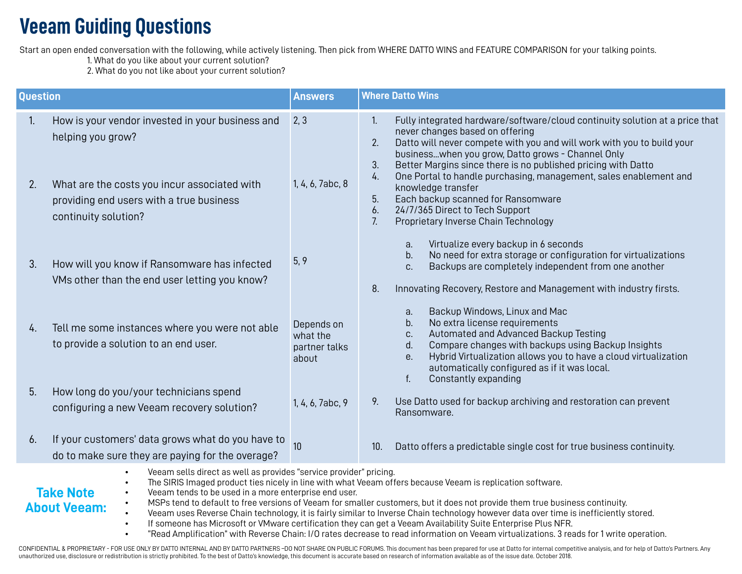## **Veeam Guiding Questions**

Start an open ended conversation with the following, while actively listening. Then pick from WHERE DATTO WINS and FEATURE COMPARISON for your talking points.

1. What do you like about your current solution?

2. What do you not like about your current solution?

| <b>Question</b>                                                                                                                                                                                                                                                                                                                                                                                                                                                                                                                                                                                      |                                                                                                                                                                                           | <b>Answers</b>                                   | <b>Where Datto Wins</b>                                                                                                                                                                                                                                                                                                                                                                                                                                                                                                                                                           |  |  |  |
|------------------------------------------------------------------------------------------------------------------------------------------------------------------------------------------------------------------------------------------------------------------------------------------------------------------------------------------------------------------------------------------------------------------------------------------------------------------------------------------------------------------------------------------------------------------------------------------------------|-------------------------------------------------------------------------------------------------------------------------------------------------------------------------------------------|--------------------------------------------------|-----------------------------------------------------------------------------------------------------------------------------------------------------------------------------------------------------------------------------------------------------------------------------------------------------------------------------------------------------------------------------------------------------------------------------------------------------------------------------------------------------------------------------------------------------------------------------------|--|--|--|
| 1.<br>2.                                                                                                                                                                                                                                                                                                                                                                                                                                                                                                                                                                                             | How is your vendor invested in your business and<br>helping you grow?<br>What are the costs you incur associated with<br>providing end users with a true business<br>continuity solution? | 2, 3<br>1, 4, 6, 7abc, 8                         | $\mathbf{1}$ .<br>Fully integrated hardware/software/cloud continuity solution at a price that<br>never changes based on offering<br>2.<br>Datto will never compete with you and will work with you to build your<br>businesswhen you grow, Datto grows - Channel Only<br>3.<br>Better Margins since there is no published pricing with Datto<br>One Portal to handle purchasing, management, sales enablement and<br>4.<br>knowledge transfer<br>Each backup scanned for Ransomware<br>5.<br>24/7/365 Direct to Tech Support<br>6.<br>7.<br>Proprietary Inverse Chain Technology |  |  |  |
| 3.                                                                                                                                                                                                                                                                                                                                                                                                                                                                                                                                                                                                   | How will you know if Ransomware has infected<br>VMs other than the end user letting you know?                                                                                             | 5, 9                                             | Virtualize every backup in 6 seconds<br>a.<br>No need for extra storage or configuration for virtualizations<br>b.<br>Backups are completely independent from one another<br>C.<br>8.<br>Innovating Recovery, Restore and Management with industry firsts.                                                                                                                                                                                                                                                                                                                        |  |  |  |
| 4.                                                                                                                                                                                                                                                                                                                                                                                                                                                                                                                                                                                                   | Tell me some instances where you were not able<br>to provide a solution to an end user.                                                                                                   | Depends on<br>what the<br>partner talks<br>about | Backup Windows, Linux and Mac<br>a.<br>No extra license requirements<br>b.<br>Automated and Advanced Backup Testing<br>C.<br>Compare changes with backups using Backup Insights<br>d.<br>Hybrid Virtualization allows you to have a cloud virtualization<br>е.<br>automatically configured as if it was local.<br>f.<br>Constantly expanding                                                                                                                                                                                                                                      |  |  |  |
| 5.                                                                                                                                                                                                                                                                                                                                                                                                                                                                                                                                                                                                   | How long do you/your technicians spend<br>configuring a new Veeam recovery solution?                                                                                                      | 1, 4, 6, 7abc, 9                                 | Use Datto used for backup archiving and restoration can prevent<br>9.<br>Ransomware.                                                                                                                                                                                                                                                                                                                                                                                                                                                                                              |  |  |  |
| 6.                                                                                                                                                                                                                                                                                                                                                                                                                                                                                                                                                                                                   | If your customers' data grows what do you have to<br>do to make sure they are paying for the overage?                                                                                     | 10                                               | Datto offers a predictable single cost for true business continuity.<br>10.                                                                                                                                                                                                                                                                                                                                                                                                                                                                                                       |  |  |  |
| Veeam sells direct as well as provides "service provider" pricing.<br>The SIRIS Imaged product ties nicely in line with what Veeam offers because Veeam is replication software.<br>$\bullet$<br><b>Take Note</b><br>Veeam tends to be used in a more enterprise end user.<br>$\bullet$<br>MSPs tend to default to free versions of Veeam for smaller customers, but it does not provide them true business continuity.<br><b>About Veeam:</b><br>Veeam uses Reverse Chain technology, it is fairly similar to Inverse Chain technology however data over time is inefficiently stored.<br>$\bullet$ |                                                                                                                                                                                           |                                                  |                                                                                                                                                                                                                                                                                                                                                                                                                                                                                                                                                                                   |  |  |  |

- If someone has Microsoft or VMware certification they can get a Veeam Availability Suite Enterprise Plus NFR.
- "Read Amplification" with Reverse Chain: I/O rates decrease to read information on Veeam virtualizations. 3 reads for 1 write operation.

CONFIDENTIAL & PROPRIETARY - FOR USE ONLY BY DATTO INTERNAL AND BY DATTO PARTNERS -DO NOT SHARE ON PUBLIC FORUMS. This document has been prepared for use at Datto for internal competitive analysis, and for help of Datto's unauthorized use, disclosure or redistribution is strictly prohibited. To the best of Datto's knowledge, this document is accurate based on research of information available as of the issue date. October 2018.